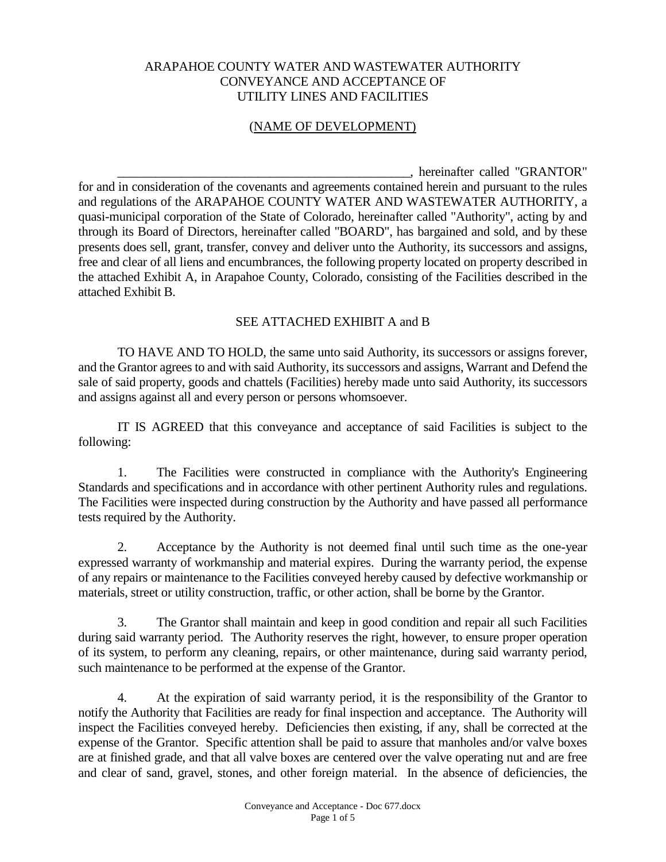### ARAPAHOE COUNTY WATER AND WASTEWATER AUTHORITY CONVEYANCE AND ACCEPTANCE OF UTILITY LINES AND FACILITIES

#### (NAME OF DEVELOPMENT)

\_\_\_\_\_\_\_\_\_\_\_\_\_\_\_\_\_\_\_\_\_\_\_\_\_\_\_\_\_\_\_\_\_\_\_\_\_\_\_\_\_\_\_\_\_\_, hereinafter called "GRANTOR" for and in consideration of the covenants and agreements contained herein and pursuant to the rules and regulations of the ARAPAHOE COUNTY WATER AND WASTEWATER AUTHORITY, a quasi-municipal corporation of the State of Colorado, hereinafter called "Authority", acting by and through its Board of Directors, hereinafter called "BOARD", has bargained and sold, and by these presents does sell, grant, transfer, convey and deliver unto the Authority, its successors and assigns, free and clear of all liens and encumbrances, the following property located on property described in the attached Exhibit A, in Arapahoe County, Colorado, consisting of the Facilities described in the attached Exhibit B.

#### SEE ATTACHED EXHIBIT A and B

TO HAVE AND TO HOLD, the same unto said Authority, its successors or assigns forever, and the Grantor agrees to and with said Authority, its successors and assigns, Warrant and Defend the sale of said property, goods and chattels (Facilities) hereby made unto said Authority, its successors and assigns against all and every person or persons whomsoever.

IT IS AGREED that this conveyance and acceptance of said Facilities is subject to the following:

1. The Facilities were constructed in compliance with the Authority's Engineering Standards and specifications and in accordance with other pertinent Authority rules and regulations. The Facilities were inspected during construction by the Authority and have passed all performance tests required by the Authority.

2. Acceptance by the Authority is not deemed final until such time as the one-year expressed warranty of workmanship and material expires. During the warranty period, the expense of any repairs or maintenance to the Facilities conveyed hereby caused by defective workmanship or materials, street or utility construction, traffic, or other action, shall be borne by the Grantor.

3. The Grantor shall maintain and keep in good condition and repair all such Facilities during said warranty period. The Authority reserves the right, however, to ensure proper operation of its system, to perform any cleaning, repairs, or other maintenance, during said warranty period, such maintenance to be performed at the expense of the Grantor.

4. At the expiration of said warranty period, it is the responsibility of the Grantor to notify the Authority that Facilities are ready for final inspection and acceptance. The Authority will inspect the Facilities conveyed hereby. Deficiencies then existing, if any, shall be corrected at the expense of the Grantor. Specific attention shall be paid to assure that manholes and/or valve boxes are at finished grade, and that all valve boxes are centered over the valve operating nut and are free and clear of sand, gravel, stones, and other foreign material. In the absence of deficiencies, the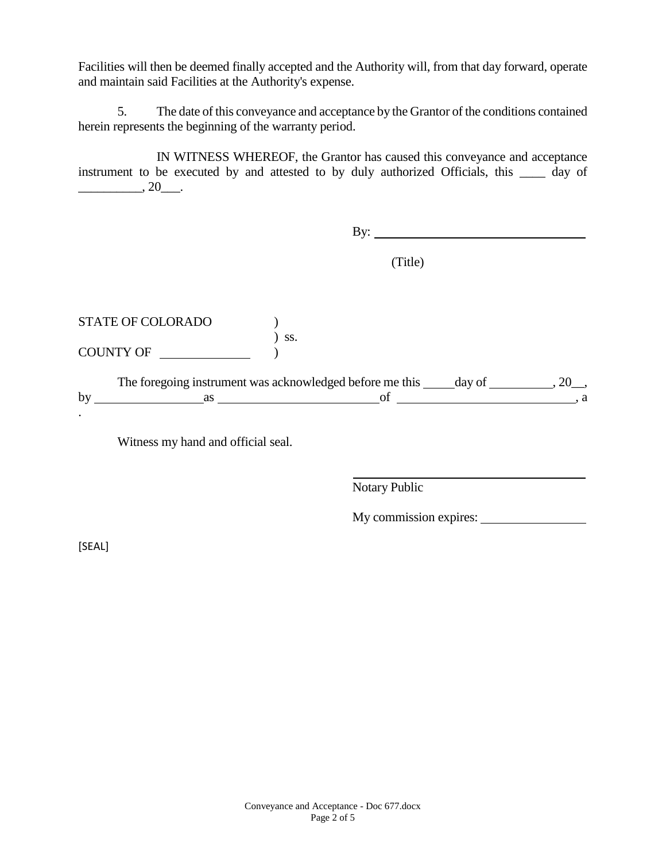Facilities will then be deemed finally accepted and the Authority will, from that day forward, operate and maintain said Facilities at the Authority's expense.

5. The date of this conveyance and acceptance by the Grantor of the conditions contained herein represents the beginning of the warranty period.

IN WITNESS WHEREOF, the Grantor has caused this conveyance and acceptance instrument to be executed by and attested to by duly authorized Officials, this \_\_\_\_ day of  $\frac{1}{20}$ .

|                                    | By: $\qquad \qquad$                                                                     |  |
|------------------------------------|-----------------------------------------------------------------------------------------|--|
|                                    | (Title)                                                                                 |  |
| STATE OF COLORADO<br>COUNTY OF     | SS.                                                                                     |  |
|                                    | The foregoing instrument was acknowledged before me this _____ day of __________, 20__, |  |
| Witness my hand and official seal. |                                                                                         |  |
|                                    | Notary Public                                                                           |  |
|                                    | My commission expires:                                                                  |  |
| [SEAL]                             |                                                                                         |  |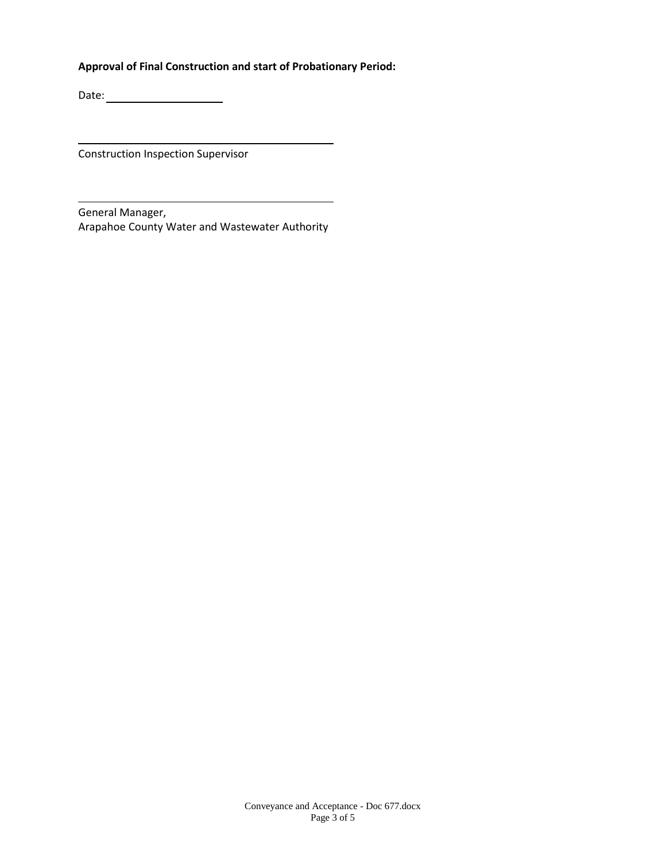#### **Approval of Final Construction and start of Probationary Period:**

Date:

Construction Inspection Supervisor

General Manager, Arapahoe County Water and Wastewater Authority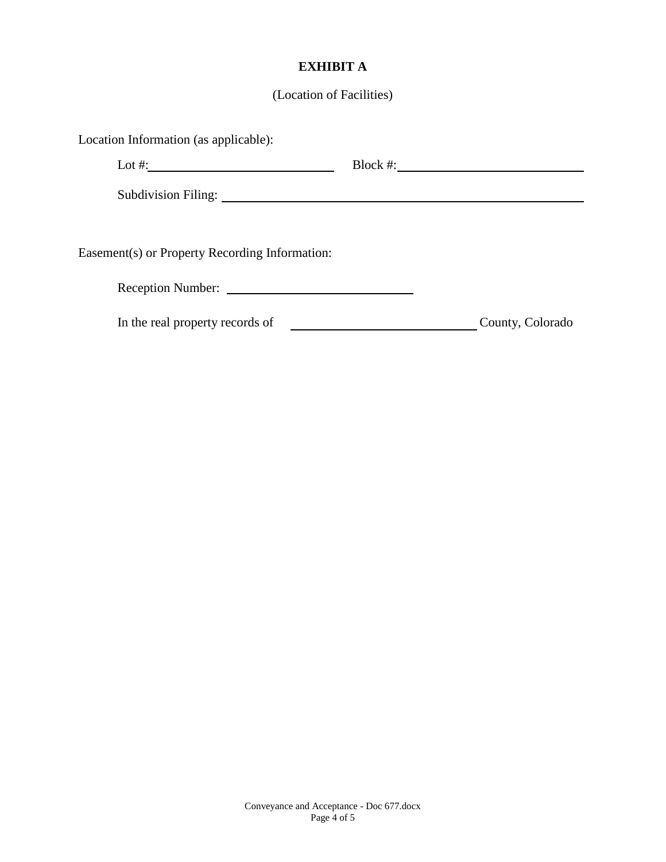## **EXHIBIT A**

(Location of Facilities)

| Location Information (as applicable):          |                  |
|------------------------------------------------|------------------|
| Lot #:                                         | $Block \#:$      |
|                                                |                  |
|                                                |                  |
| Easement(s) or Property Recording Information: |                  |
| Reception Number:                              |                  |
| In the real property records of                | County, Colorado |